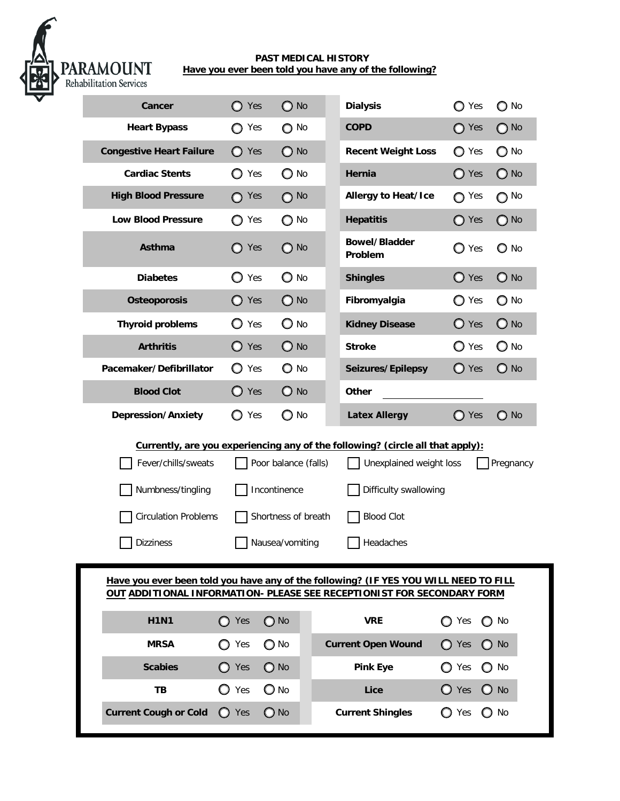

## **PAST MEDICAL HISTORY Have you ever been told you have any of the following?**

| <b>Cancer</b>                                                                                                                                                                                                                                                                                                                                                      | $\bigcirc$ Yes | $\bigcirc$ No | <b>Dialysis</b>                 | ◯ Yes          | $\bigcirc$ No |
|--------------------------------------------------------------------------------------------------------------------------------------------------------------------------------------------------------------------------------------------------------------------------------------------------------------------------------------------------------------------|----------------|---------------|---------------------------------|----------------|---------------|
| <b>Heart Bypass</b>                                                                                                                                                                                                                                                                                                                                                | ◯ Yes          | $\bigcirc$ No | <b>COPD</b>                     | ◯ Yes          | $\bigcirc$ No |
| <b>Congestive Heart Failure</b>                                                                                                                                                                                                                                                                                                                                    | $\bigcirc$ Yes | $\bigcirc$ No | <b>Recent Weight Loss</b>       | ◯ Yes          | $\bigcirc$ No |
| <b>Cardiac Stents</b>                                                                                                                                                                                                                                                                                                                                              | ◯ Yes          | $\bigcirc$ No | Hernia                          | $\bigcirc$ Yes | $\bigcirc$ No |
| <b>High Blood Pressure</b>                                                                                                                                                                                                                                                                                                                                         | $\bigcap$ Yes  | $O$ No        | <b>Allergy to Heat/Ice</b>      | $\bigcirc$ Yes | $\bigcirc$ No |
| <b>Low Blood Pressure</b>                                                                                                                                                                                                                                                                                                                                          | ◯ Yes          | $\bigcirc$ No | <b>Hepatitis</b>                | $\bigcirc$ Yes | $\bigcirc$ No |
| Asthma                                                                                                                                                                                                                                                                                                                                                             | Yes            | $\bigcirc$ No | <b>Bowel/Bladder</b><br>Problem | $\bigcirc$ Yes | $\bigcirc$ No |
| <b>Diabetes</b>                                                                                                                                                                                                                                                                                                                                                    | $\bigcirc$ Yes | $\bigcirc$ No | <b>Shingles</b>                 | $\bigcirc$ Yes | $\bigcirc$ No |
| <b>Osteoporosis</b>                                                                                                                                                                                                                                                                                                                                                | $\bigcirc$ Yes | $\bigcirc$ No | Fibromyalgia                    | $\bigcirc$ Yes | $\bigcirc$ No |
| <b>Thyroid problems</b>                                                                                                                                                                                                                                                                                                                                            | $\bigcirc$ Yes | $\bigcirc$ No | <b>Kidney Disease</b>           | $\bigcirc$ Yes | $\bigcirc$ No |
| <b>Arthritis</b>                                                                                                                                                                                                                                                                                                                                                   | $\bigcirc$ Yes | $\bigcirc$ No | <b>Stroke</b>                   | $\bigcirc$ Yes | $\bigcirc$ No |
| Pacemaker/Defibrillator                                                                                                                                                                                                                                                                                                                                            | $\bigcirc$ Yes | $\bigcirc$ No | Seizures/Epilepsy               | $\bigcirc$ Yes | $\bigcirc$ No |
| <b>Blood Clot</b>                                                                                                                                                                                                                                                                                                                                                  | $\bigcirc$ Yes | $\bigcirc$ No | <b>Other</b>                    |                |               |
| <b>Depression/Anxiety</b>                                                                                                                                                                                                                                                                                                                                          | ◯ Yes          | O No          | <b>Latex Allergy</b>            | $\bigcirc$ Yes | $\bigcirc$ No |
| Currently, are you experiencing any of the following? (circle all that apply):<br>Fever/chills/sweats<br>Poor balance (falls)<br>Unexplained weight loss<br>Pregnancy<br>Numbness/tingling<br>Incontinence<br>Difficulty swallowing<br><b>Circulation Problems</b><br>Shortness of breath<br><b>Blood Clot</b><br><b>Dizziness</b><br>Nausea/vomiting<br>Headaches |                |               |                                 |                |               |
| Have you ever been told you have any of the following? (IF YES YOU WILL NEED TO FILL<br>OUT ADDITIONAL INFORMATION- PLEASE SEE RECEPTIONIST FOR SECONDARY FORM                                                                                                                                                                                                     |                |               |                                 |                |               |
| <b>H1N1</b>                                                                                                                                                                                                                                                                                                                                                        | $\bigcirc$ Yes | $\bigcirc$ No | <b>VRE</b>                      | Yes<br>∩       | No            |
| <b>MRSA</b>                                                                                                                                                                                                                                                                                                                                                        | $\bigcirc$ Yes | $\bigcirc$ No | <b>Current Open Wound</b>       | $\bigcirc$ Yes | $\bigcirc$ No |
| <b>Scabies</b>                                                                                                                                                                                                                                                                                                                                                     | $\bigcirc$ Yes | $\bigcirc$ No | <b>Pink Eye</b>                 | Yes            | $\bigcirc$ No |
| TВ                                                                                                                                                                                                                                                                                                                                                                 | $\bigcirc$ Yes | $\bigcirc$ No | Lice                            | $\bigcirc$ Yes | $\bigcirc$ No |
| <b>Current Cough or Cold</b>                                                                                                                                                                                                                                                                                                                                       | O<br>Yes       | $\bigcirc$ No | <b>Current Shingles</b>         | ◯ Yes<br>Ω     | No            |